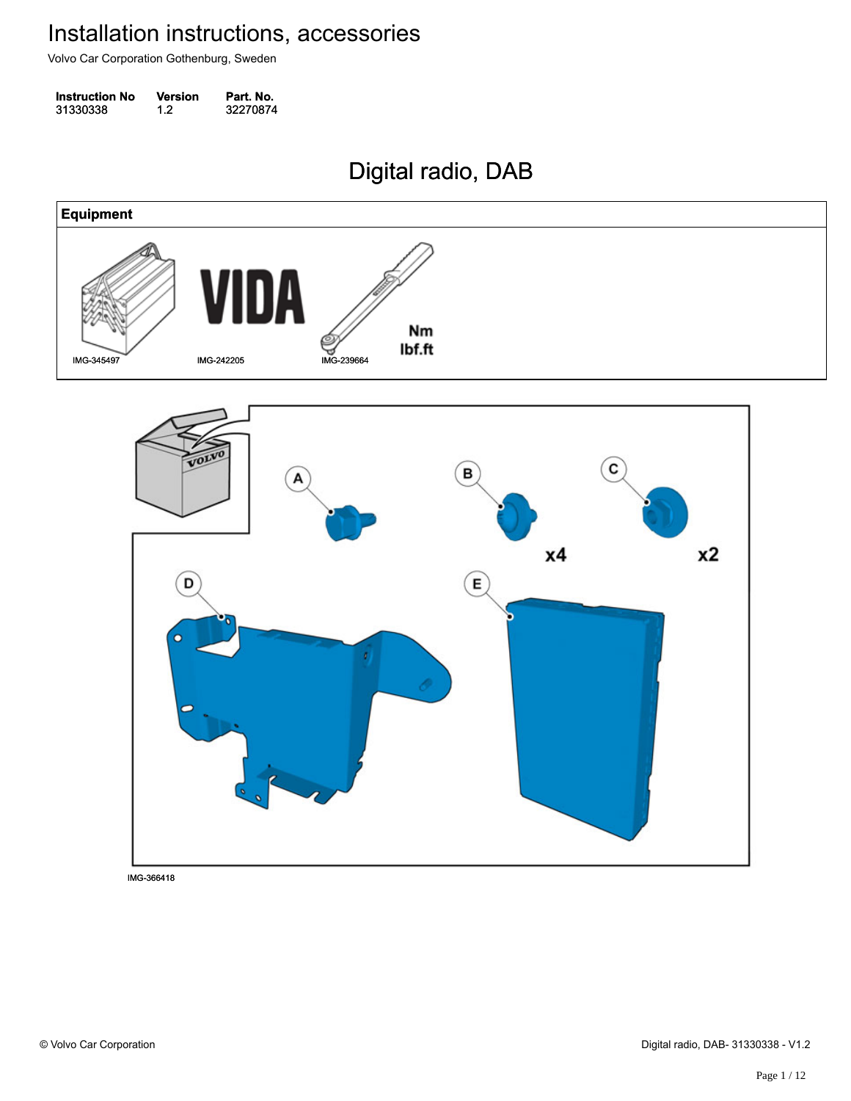Volvo Car Corporation Gothenburg, Sweden

| <b>Instruction No</b> | <b>Version</b> | Part. No. |
|-----------------------|----------------|-----------|
| 31330338              | 1.2            | 32270874  |

Digital radio, DAB Digital radio, DAB



IMG-366418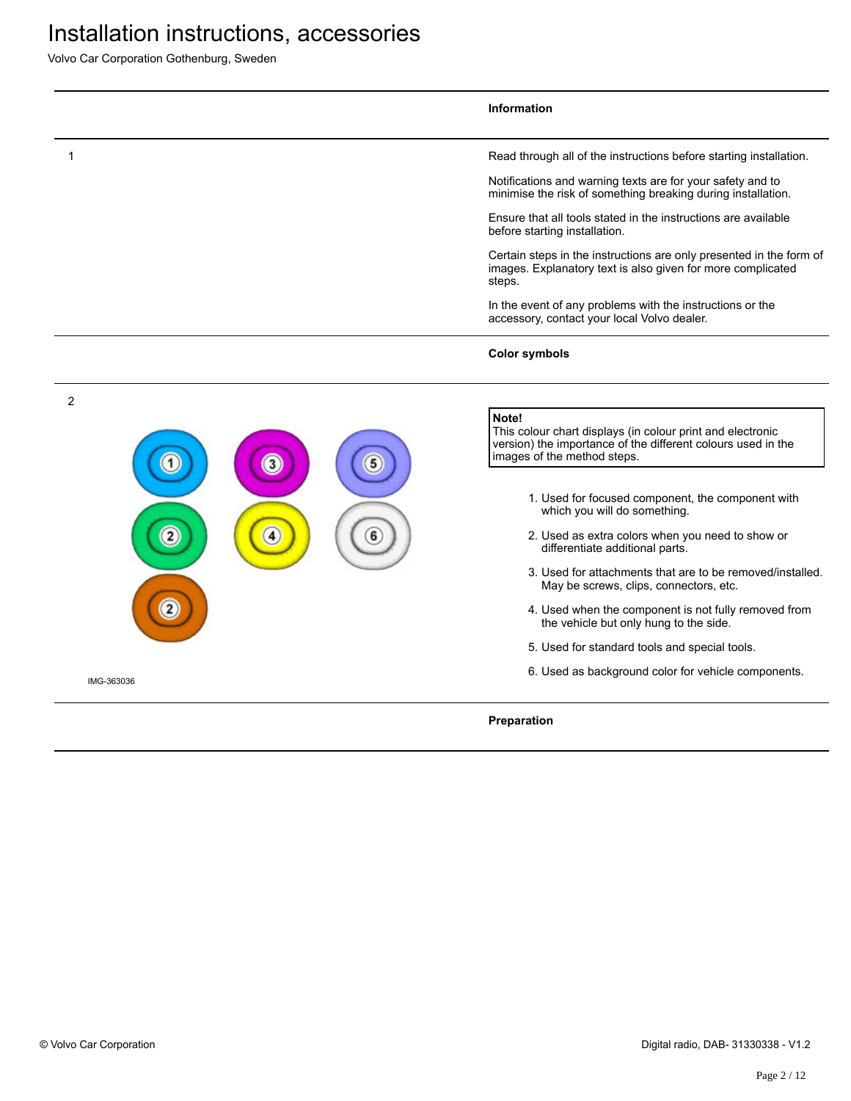Volvo Car Corporation Gothenburg, Sweden

|                | Information                                                                                                                                                        |
|----------------|--------------------------------------------------------------------------------------------------------------------------------------------------------------------|
| 1              | Read through all of the instructions before starting installation.                                                                                                 |
|                | Notifications and warning texts are for your safety and to<br>minimise the risk of something breaking during installation.                                         |
|                | Ensure that all tools stated in the instructions are available<br>before starting installation.                                                                    |
|                | Certain steps in the instructions are only presented in the form of<br>images. Explanatory text is also given for more complicated<br>steps.                       |
|                | In the event of any problems with the instructions or the<br>accessory, contact your local Volvo dealer.                                                           |
|                | <b>Color symbols</b>                                                                                                                                               |
| $\overline{c}$ |                                                                                                                                                                    |
| 3              | Note!<br>This colour chart displays (in colour print and electronic<br>version) the importance of the different colours used in the<br>images of the method steps. |
|                | 1. Used for focused component, the component with<br>which you will do something.                                                                                  |
|                | 2. Used as extra colors when you need to show or<br>differentiate additional parts.                                                                                |
|                | 3. Used for attachments that are to be removed/installed.<br>May be screws, clips, connectors, etc.                                                                |
|                | 4. Used when the component is not fully removed from<br>the vehicle but only hung to the side.                                                                     |
|                | 5. Used for standard tools and special tools.                                                                                                                      |
| IMG-363036     | 6. Used as background color for vehicle components.                                                                                                                |
|                | Preparation                                                                                                                                                        |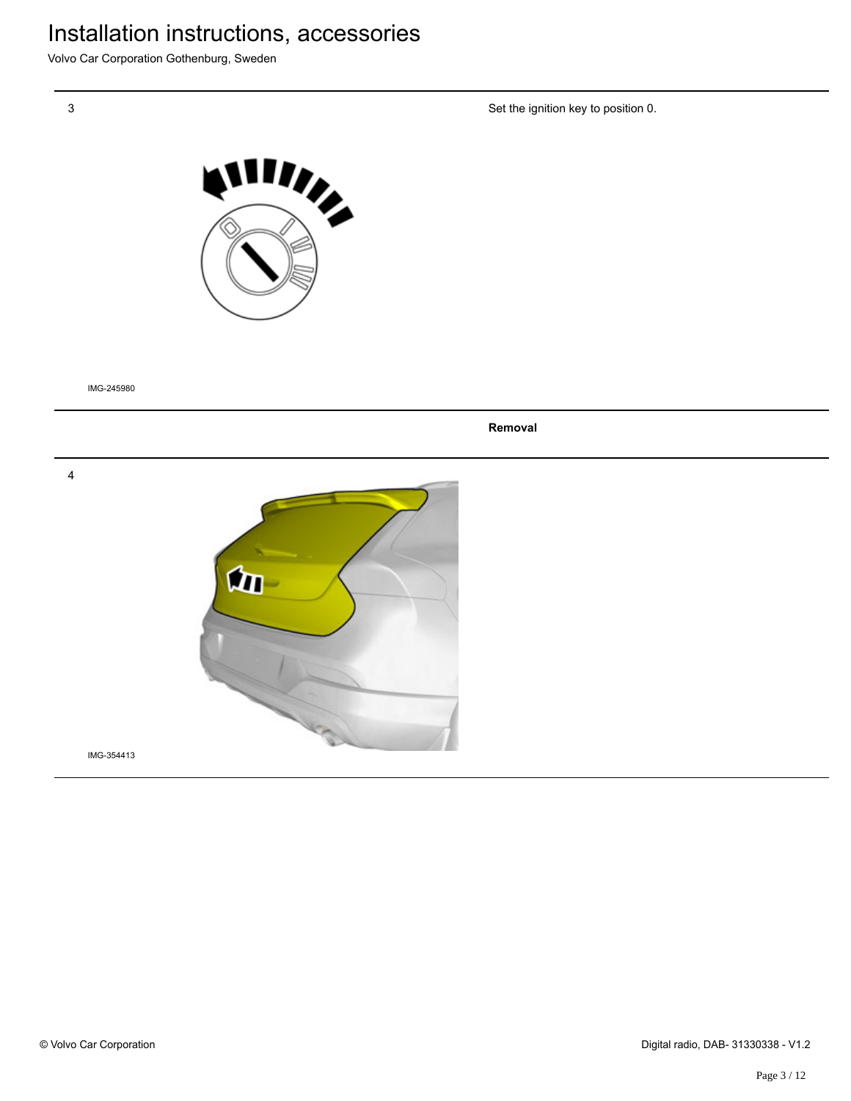Volvo Car Corporation Gothenburg, Sweden

Set the ignition key to position 0.



IMG-245980

**Removal**

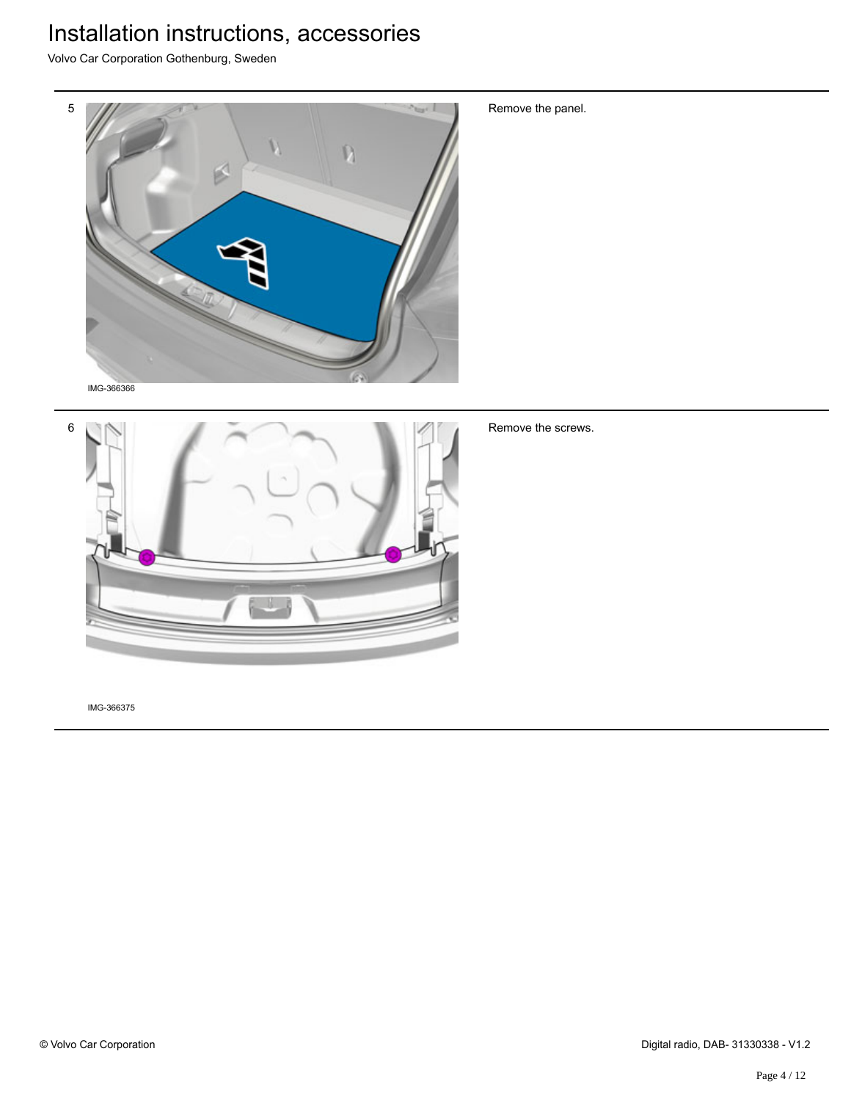Volvo Car Corporation Gothenburg, Sweden



6

Remove the screws.

Remove the panel.

IMG-366375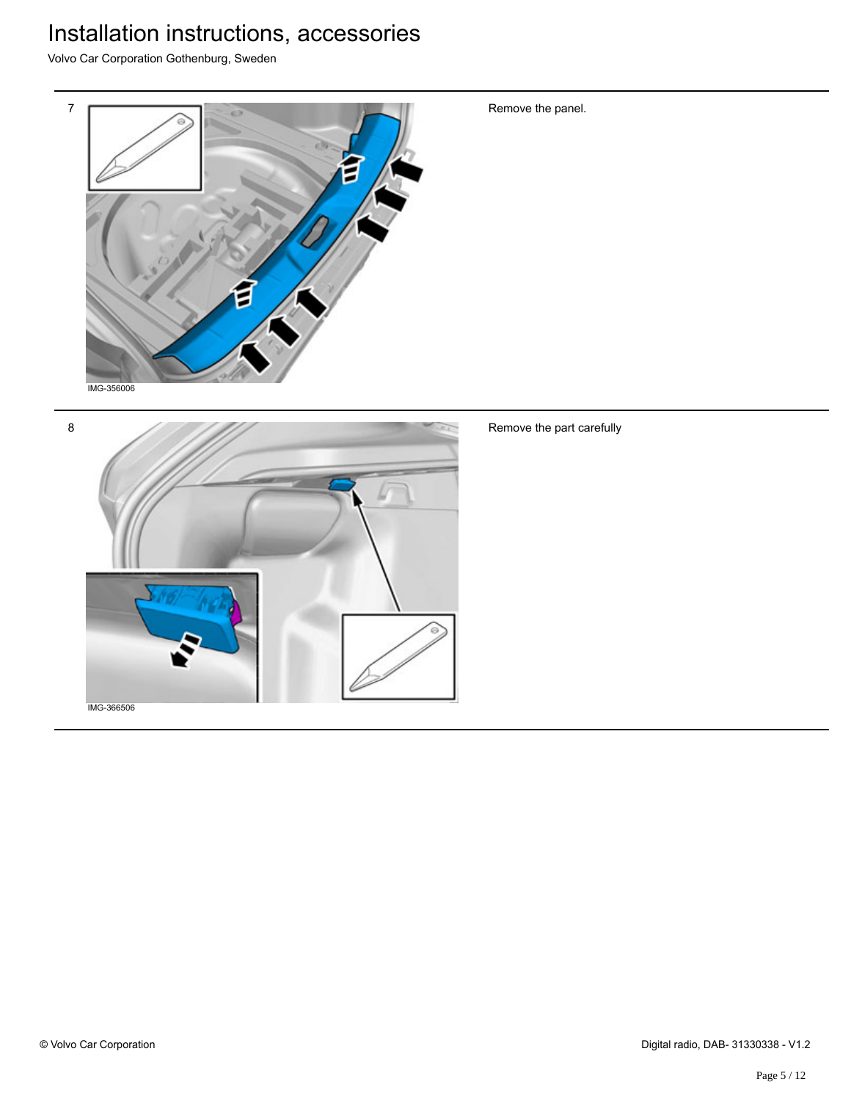Volvo Car Corporation Gothenburg, Sweden





Remove the part carefully

Remove the panel.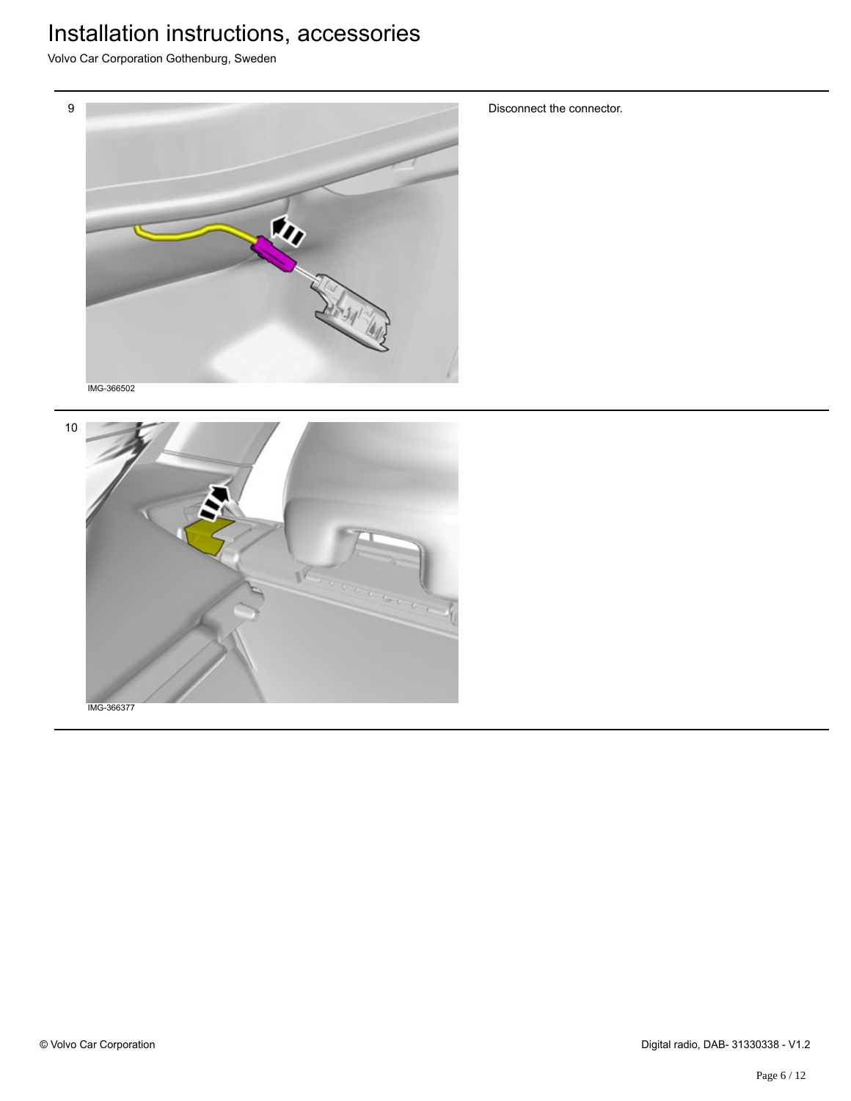Volvo Car Corporation Gothenburg, Sweden



Disconnect the connector.



© Volvo Car Corporation Digital radio, DAB- 31330338 - V1.2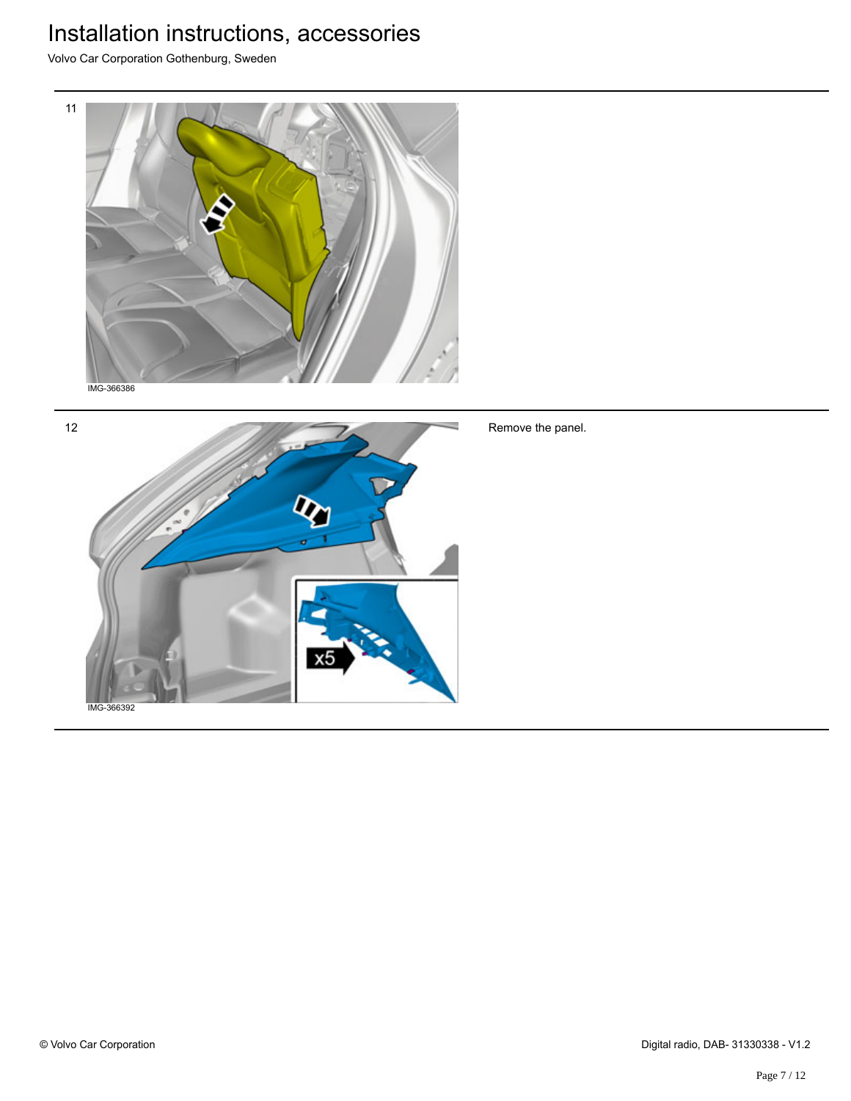Volvo Car Corporation Gothenburg, Sweden





Remove the panel.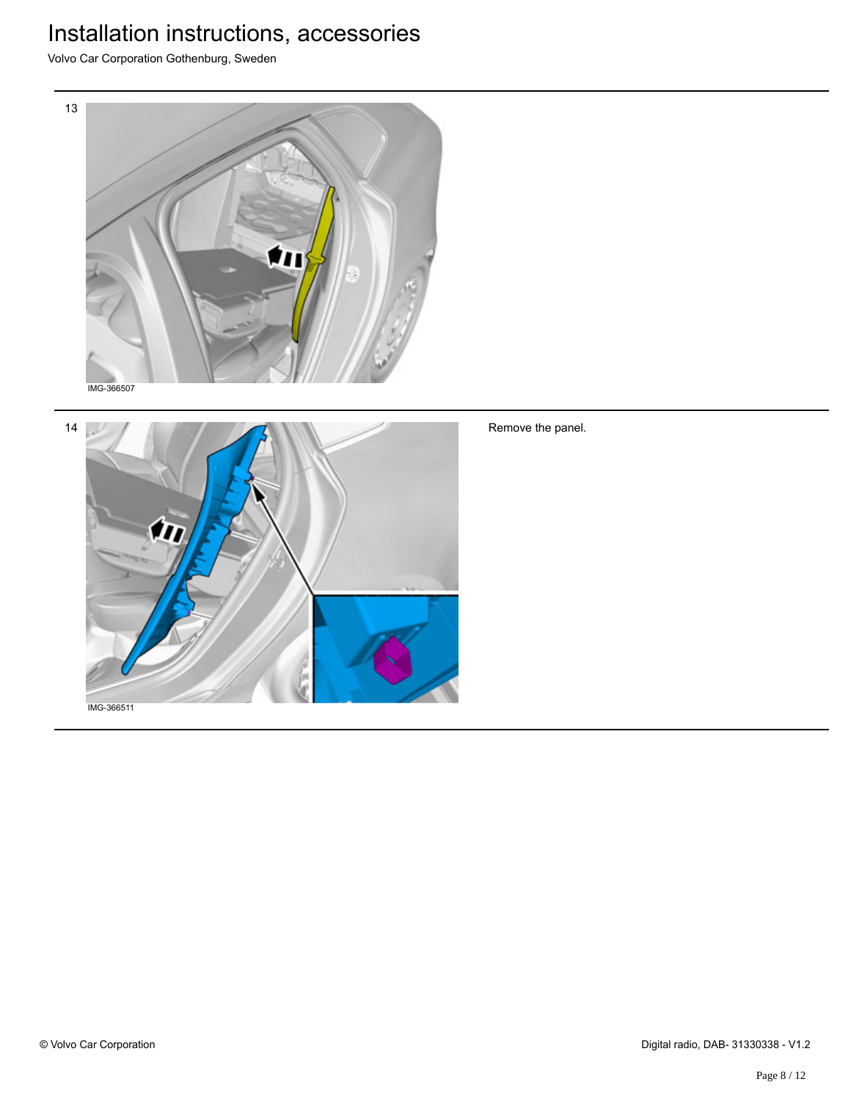Volvo Car Corporation Gothenburg, Sweden





Remove the panel.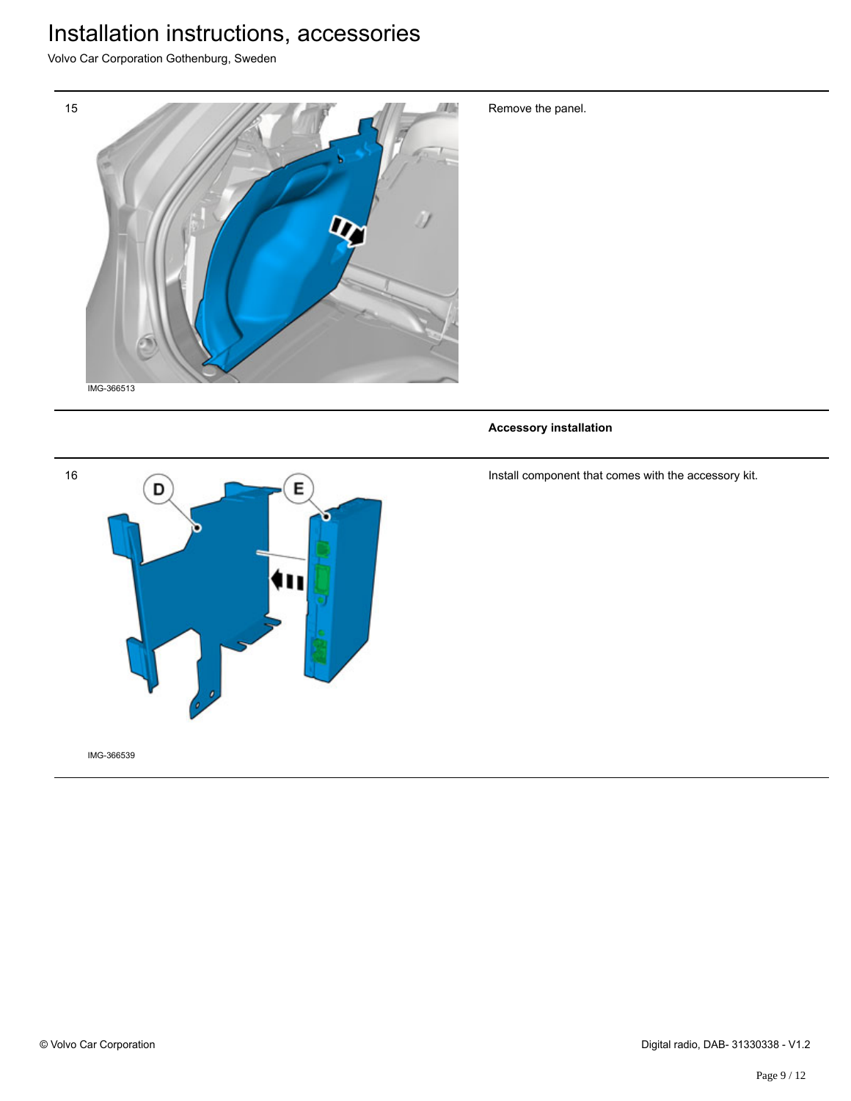Volvo Car Corporation Gothenburg, Sweden



Remove the panel.

**Accessory installation**

16 E D

IMG-366539

Install component that comes with the accessory kit.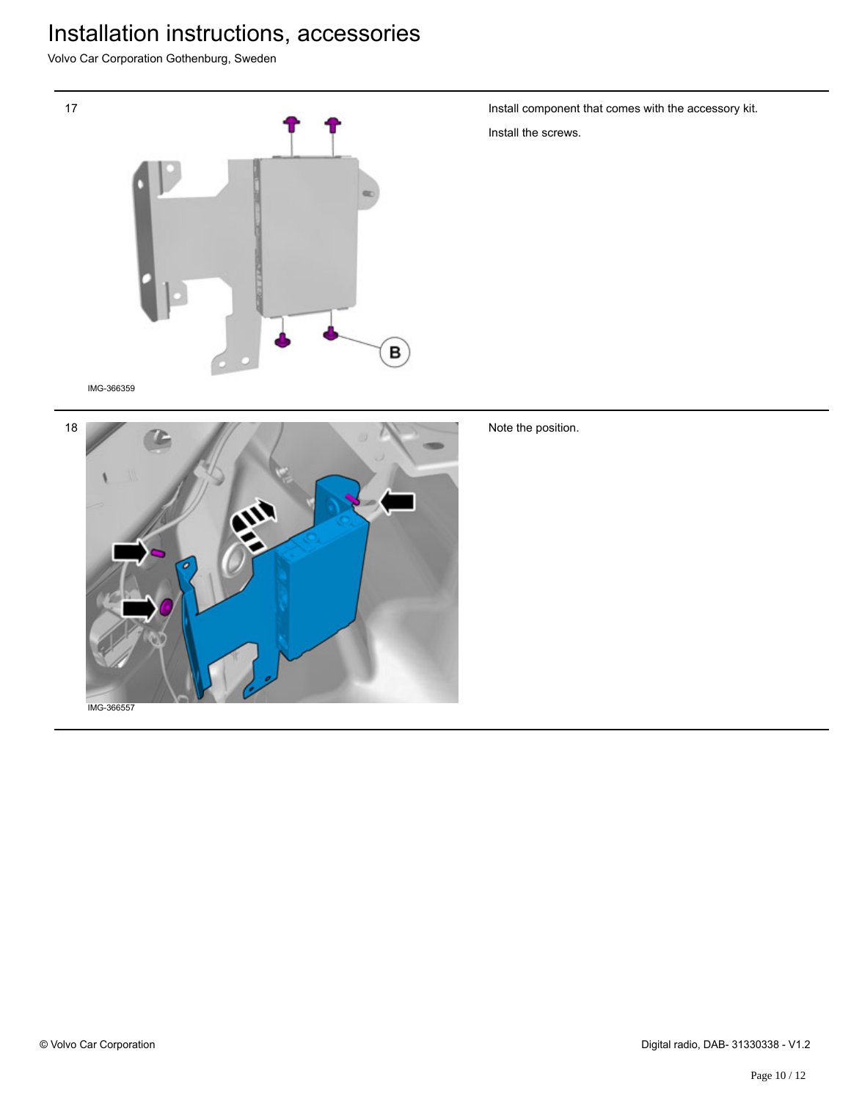Volvo Car Corporation Gothenburg, Sweden



IMG-366359



Note the position.

Install component that comes with the accessory kit.

Install the screws.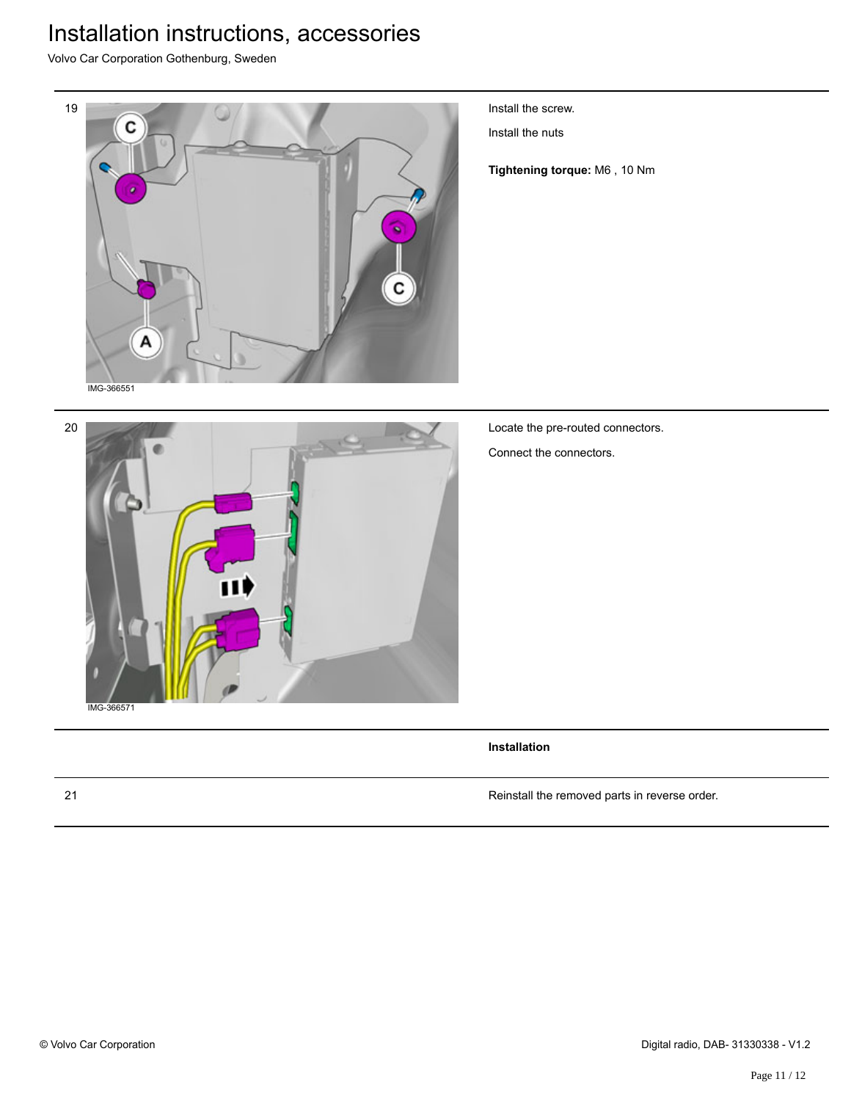Volvo Car Corporation Gothenburg, Sweden



Install the screw.

Install the nuts

**Tightening torque:** M6 , 10 Nm

Locate the pre-routed connectors.

Connect the connectors.

**Installation**

21 Reinstall the removed parts in reverse order.

20

IMG-366571